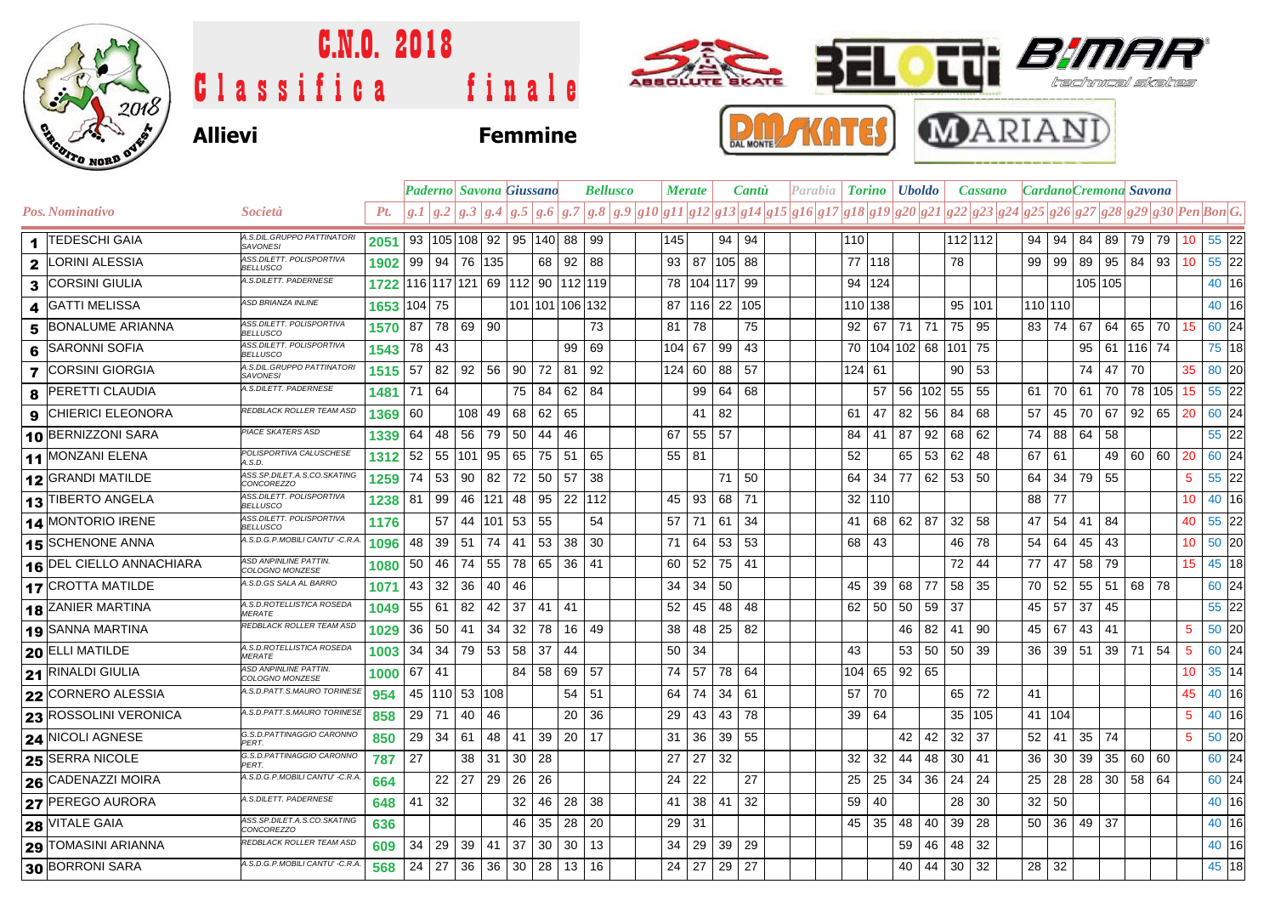

# Classifica finale C.N.O. 2018





### **Allievi Femmine**





|                |                          |                                                  |                                    |                 |          |                     | Paderno   Savona Giussano                |    |                 |        |    | <b>Bellusco</b>                                                                                   |     | <b>Merate</b> |                 | <b>Cantu</b> |  | Parabia | <b>Torino</b> |                     | <b>Uboldo</b> |    |           | <b>Cassano</b> |                 |              |       | Cardano Cremona Savona             |        |          |                  |         |  |
|----------------|--------------------------|--------------------------------------------------|------------------------------------|-----------------|----------|---------------------|------------------------------------------|----|-----------------|--------|----|---------------------------------------------------------------------------------------------------|-----|---------------|-----------------|--------------|--|---------|---------------|---------------------|---------------|----|-----------|----------------|-----------------|--------------|-------|------------------------------------|--------|----------|------------------|---------|--|
|                | Pos. Nominativo          | Società                                          | Pt.                                |                 |          |                     |                                          |    |                 |        |    | $g.1 g.2 g.3 g.4 g.5 g.6 g.7 g.8 g.9 g10 g11 g12 g13 g14 g15 g16 g17 g18 g19 g20 g21 g22 g23 g24$ |     |               |                 |              |  |         |               |                     |               |    |           |                |                 |              |       | g25 g26 g27 g28 g29 g30 Pen Bon G. |        |          |                  |         |  |
|                | 1 TEDESCHI GAIA          | A.S.DIL.GRUPPO PATTINATORI<br><b>SAVONESI</b>    | 2051                               |                 |          |                     | 93   105   108   92   95   140   88   99 |    |                 |        |    |                                                                                                   | 145 |               |                 | 94 94        |  |         | 110           |                     |               |    | $112$ 112 |                | 94              | 94           |       | 84   89   79   79                  |        |          | 10 <sup>1</sup>  | 55 22   |  |
| $\mathbf{2}$   | LORINI ALESSIA           | ASS.DILETT. POLISPORTIVA<br><b>BELLUSCO</b>      | 1902                               |                 | 99 94 76 |                     | 135                                      |    | 68              | 92     | 88 |                                                                                                   | 93  | 87            |                 | 105 88       |  |         | 77 118        |                     |               |    | 78        |                | 99              | 99           | 89    | 95   84                            |        | 93       | 10               | $55$ 22 |  |
|                | 3 CORSINI GIULIA         | A.S.DILETT. PADERNESE                            | 1722 116 117 121 69 112 90 112 119 |                 |          |                     |                                          |    |                 |        |    |                                                                                                   | 78  |               |                 | 104 117 99   |  |         | 94 124        |                     |               |    |           |                |                 |              |       | 105 105                            |        |          |                  | 40 16   |  |
| 4              | <b>GATTI MELISSA</b>     | ASD BRIANZA INLINE                               | 1653                               | 104 75          |          |                     |                                          |    | 101 101 106 132 |        |    |                                                                                                   | 87  |               |                 | 116 22 105   |  |         | 110 138       |                     |               |    | 95 101    |                |                 | 110 110      |       |                                    |        |          |                  | 40 16   |  |
| 5              | <b>BONALUME ARIANNA</b>  | ASS.DILETT. POLISPORTIVA<br><b>BELLUSCO</b>      | 1570                               | 87              |          | 78 69               | 90                                       |    |                 |        | 73 |                                                                                                   | 81  | 78            |                 | 75           |  |         |               | $92$ 67 71 71       |               |    | 75        | 95             |                 | 83   74      | 67    | 64                                 | 65     | 70       | 15               | 60 24   |  |
| 6              | <b>SARONNI SOFIA</b>     | ASS.DILETT. POLISPORTIVA<br><b>BELLUSCO</b>      | 1543                               | 78              | -43      |                     |                                          |    |                 | 99     | 69 |                                                                                                   | 104 | 67            | 99              | 43           |  |         |               | 70   104   102   68 |               |    | 101 75    |                |                 |              | 95    | 61                                 | 116 74 |          |                  | 75 18   |  |
| $\overline{7}$ | <b>CORSINI GIORGIA</b>   | A.S.DIL.GRUPPO PATTINATORI<br>SAVONESI           | 1515                               | 57              | 82       | 92                  | 56                                       | 90 | 72              | 81     | 92 |                                                                                                   | 124 | 60            | 88              | 57           |  |         | $124 \mid 61$ |                     |               |    | 90        | 53             |                 |              | 74    | 47                                 | 70     |          | 35               | 80 20   |  |
| 8              | <b>PERETTI CLAUDIA</b>   | A.S.DILETT. PADERNESE                            | 1481                               | 71 64           |          |                     |                                          | 75 | 84              | 62     | 84 |                                                                                                   |     | 99            |                 | $64 \mid 68$ |  |         |               | 57                  | 56   102      |    | 55        | 55             | 61              | 70           | 61    | 70                                 |        | 78 105   | 15               | 55 22   |  |
| 9              | <b>CHIERICI ELEONORA</b> | REDBLACK ROLLER TEAM ASD                         | 1369                               | 60              |          | 108 49              |                                          | 68 | 62              | 65     |    |                                                                                                   |     | 41            | 82              |              |  |         | 61            | 47                  | 82<br>56      | 84 |           | 68             | 57              | 45           | 70    | 67                                 | 92     | 65       | 20               | 60 24   |  |
|                | 10 BERNIZZONI SARA       | <b>PIACE SKATERS ASD</b>                         | 1339                               | 64              | 48       | 56                  | 79                                       | 50 | 44              | 46     |    |                                                                                                   | 67  | 55            | 57              |              |  |         | 84            | -41                 | 87<br>92      | 68 |           | 62             | 74              | 88           | 64    | 58                                 |        |          |                  | 55 22   |  |
|                | 11 MONZANI ELENA         | POLISPORTIVA CALUSCHESE<br>A.S.D.                | 1312                               | 52              | 55       | 101                 | 95                                       | 65 | 75 51 65        |        |    |                                                                                                   | 55  | 81            |                 |              |  |         | 52            |                     | 65 53         |    | 62        | 48             | 67 61           |              |       |                                    |        | 49 60 60 | 20               | 60 24   |  |
|                | 12 GRANDI MATILDE        | ASS.SP.DILET.A.S.CO.SKATING<br><b>CONCOREZZO</b> | 1259                               | 74              | 53       | 90                  | 82                                       | 72 | 50 57           |        | 38 |                                                                                                   |     |               |                 | 71 50        |  |         | 64 34         |                     | 77   62       |    | 53        | 50             | 64 l            | 34           | 79 55 |                                    |        |          | 5                | 55 22   |  |
|                | 13 TIBERTO ANGELA        | ASS.DILETT. POLISPORTIVA<br><b>BELLUSCO</b>      | 1238                               | 81              | 99       | 46                  | 121                                      | 48 | 95              | 22 112 |    |                                                                                                   | 45  | 93            |                 | 68 71        |  |         | 32 110        |                     |               |    |           |                |                 | 88 77        |       |                                    |        |          | 10               | 40 16   |  |
|                | 14 MONTORIO IRENE        | ASS.DILETT. POLISPORTIVA<br><b>BELLUSCO</b>      | 1176                               |                 | 57       | 44                  | 101 53                                   |    | 55              |        | 54 |                                                                                                   | 57  | 71            |                 | $61 \mid 34$ |  |         | 41            | 68                  | 62 87         | 32 |           | 58             | 47              | 54           | 41    | 84                                 |        |          | 40               | $55$ 22 |  |
|                | 15 SCHENONE ANNA         | A.S.D.G.P.MOBILI CANTU' - C.R.A.                 | 1096                               | 48              | 39       | -51                 | 74                                       | 41 | 53 <sup>1</sup> | 38     | 30 |                                                                                                   | 71  | 64            | 53              | 53           |  |         | 68 43         |                     |               |    | 46        | -78            | 54              | 64           | 45    | 43                                 |        |          | 10               | $50$ 20 |  |
|                | 16 DEL CIELLO ANNACHIARA | ASD ANPINLINE PATTIN.<br>COLOGNO MONZESE         | 1080                               | 50 <sup>1</sup> | 46       | 74                  | 55                                       | 78 | 65              | 36 41  |    |                                                                                                   | 60  | 52            |                 | 75 41        |  |         |               |                     |               |    | 72        | 44             |                 | 77   47      | 58    | 79                                 |        |          | 15 <sup>15</sup> | 45 18   |  |
|                | <b>17 CROTTA MATILDE</b> | A.S.D.GS SALA AL BARRO                           | 1071                               |                 | 43 32    | 36                  | 40                                       | 46 |                 |        |    |                                                                                                   | 34  |               | $34 \mid 50$    |              |  |         | 45 39         |                     | 68 77         |    | 58        | 35             | 70 I            | 52           | 55    | 51                                 | 68 78  |          |                  | 60 24   |  |
|                | <b>18 ZANIER MARTINA</b> | A.S.D.ROTELLISTICA ROSEDA<br><b>MERATE</b>       | 1049                               | 55              | -61      | 82                  | 42                                       | 37 | 41              | 41     |    |                                                                                                   | 52  | 45            | 48              | 48           |  |         | 62 50         |                     | 50<br>59      | 37 |           |                | 45              | 57           | 37    | 45                                 |        |          |                  | 55 22   |  |
|                | 19 SANNA MARTINA         | REDBLACK ROLLER TEAM ASD                         | 1029                               | 36              | 50       | 41                  | 34                                       | 32 | 78              | 16     | 49 |                                                                                                   | 38  | 48            |                 | 25 82        |  |         |               |                     | 46<br>82      | 41 |           | 90             | 45              | 67           | 43    | 41                                 |        |          | 5                | $50$ 20 |  |
|                | 20 ELLI MATILDE          | A.S.D.ROTELLISTICA ROSEDA<br><b>MERATE</b>       | 1003                               | 34              | 34       | 79                  | 53                                       | 58 | 37              | 44     |    |                                                                                                   | 50  | 34            |                 |              |  |         | 43            |                     | 53 50         |    | 50        | 39             | 36 <sup>1</sup> |              | 39 51 | 39 71                              |        | 54       | 5                | 60 24   |  |
|                | 21 RINALDI GIULIA        | ASD ANPINLINE PATTIN.<br>COLOGNO MONZESE         | 1000                               | 67              | 41       |                     |                                          | 84 | 58              | 69     | 57 |                                                                                                   | 74  | 57            |                 | 78 64        |  |         | 104 65        |                     | 92 65         |    |           |                |                 |              |       |                                    |        |          | 10 <sup>1</sup>  | 35 14   |  |
|                | 22 CORNERO ALESSIA       | A.S.D.PATT.S.MAURO TORINESE                      | 954                                |                 |          | 45   110   53   108 |                                          |    |                 | 54     | 51 |                                                                                                   | 64  | 74            | 34              | -61          |  |         | 57            | 70                  |               |    | 65        | 72             | 41              |              |       |                                    |        |          | 45               | 40 16   |  |
|                | 23 ROSSOLINI VERONICA    | A.S.D.PATT.S.MAURO TORINESE                      | 858                                | 29 71           |          | 40                  | 46                                       |    |                 | 20     | 36 |                                                                                                   | 29  | 43            | 43              | 78           |  |         | 39 64         |                     |               |    | 35        | 105            |                 | 41 104       |       |                                    |        |          | 5                | 40 16   |  |
|                | 24 NICOLI AGNESE         | G.S.D.PATTINAGGIO CARONNO<br>PERT.               | 850                                | 29              | 34       | 61                  | 48                                       | 41 | 39              | 20     | 17 |                                                                                                   | 31  | 36            | 39              | 55           |  |         |               |                     | 42<br>42      | 32 |           | 37             | 52              | 41           | 35    | 74                                 |        |          | 5                | $50$ 20 |  |
|                | 25 SERRA NICOLE          | G.S.D.PATTINAGGIO CARONNO<br>PERT.               | 787                                | 27              |          | 38                  | 31                                       | 30 | 28              |        |    |                                                                                                   | 27  | 27            | 32              |              |  |         | 32            | 32                  | 44<br>48      |    | 30        | 41             | 36              | 30           | 39    | 35                                 | 60     | 60       |                  | 60 24   |  |
|                | 26 CADENAZZI MOIRA       | A.S.D.G.P.MOBILI CANTU' - C.R.A.                 | 664                                |                 | 22       | 27                  | 29                                       | 26 | 26              |        |    |                                                                                                   | 24  | 22            |                 | 27           |  |         | 25            | 25                  | 34<br>36      | 24 |           | 24             | 25              | 28           | 28    | 30 <sup>1</sup>                    | 58 64  |          |                  | 60 24   |  |
|                | 27 PEREGO AURORA         | A.S.DILETT. PADERNESE                            | 648                                | 41              | 32       |                     |                                          | 32 | 46              | 28     | 38 |                                                                                                   | 41  | 38            | 41              | 32           |  |         | 59            | 40                  |               |    | 28        | 30             | 32              | 50           |       |                                    |        |          |                  | 40 16   |  |
|                | 28 VITALE GAIA           | ASS.SP.DILET.A.S.CO.SKATING<br><b>CONCOREZZO</b> | 636                                |                 |          |                     |                                          | 46 | 35              | 28     | 20 |                                                                                                   | 29  | -31           |                 |              |  |         | 45 35         |                     | 48<br>-40     | 39 |           | 28             |                 | $50 \mid 36$ | 49    | 37                                 |        |          |                  | 40 16   |  |
|                | 29 TOMASINI ARIANNA      | REDBLACK ROLLER TEAM ASD                         | 609                                | 34              | 29       | 39                  | 41                                       | 37 | 30 <sup>°</sup> | 30     | 13 |                                                                                                   | 34  | 29            | 39 <sup>°</sup> | 29           |  |         |               |                     | 59            | 46 | 48        | 32             |                 |              |       |                                    |        |          |                  | 40 16   |  |
|                | 30 BORRONI SARA          | A.S.D.G.P.MOBILI CANTU' - C.R.A.                 | 568                                | 24              | 27       | 36                  | 36                                       | 30 | 28              | 13     | 16 |                                                                                                   | 24  | 27            | 29              | 27           |  |         |               |                     | 40 44         | 30 |           | 32             |                 | $28$ 32      |       |                                    |        |          |                  | 45 18   |  |